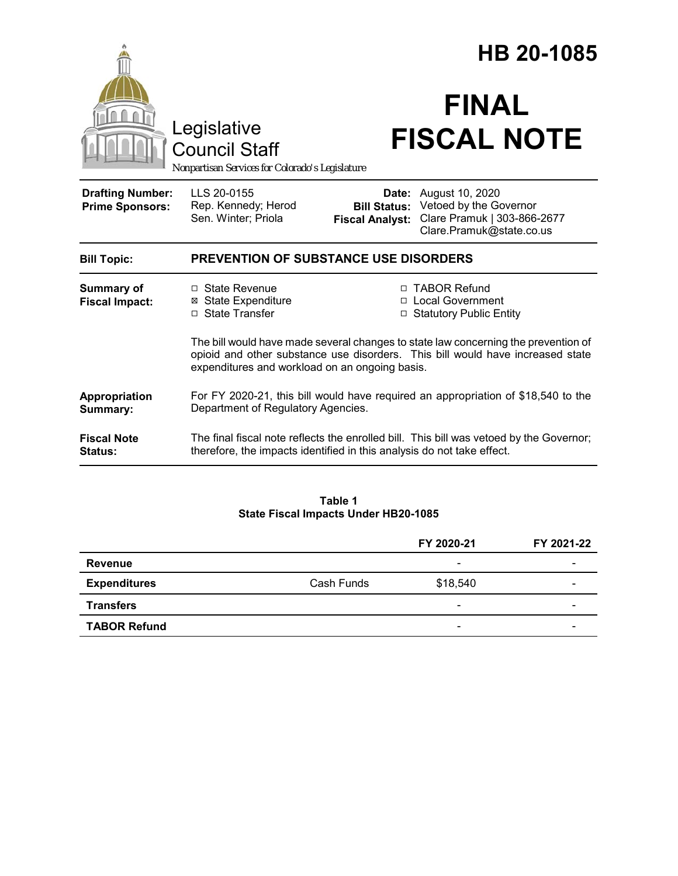|                                                   |                                                                                                                                                                                                                        |                                                        | HB 20-1085                                                                                           |  |
|---------------------------------------------------|------------------------------------------------------------------------------------------------------------------------------------------------------------------------------------------------------------------------|--------------------------------------------------------|------------------------------------------------------------------------------------------------------|--|
|                                                   | Legislative<br><b>Council Staff</b><br>Nonpartisan Services for Colorado's Legislature                                                                                                                                 |                                                        | <b>FINAL</b><br><b>FISCAL NOTE</b>                                                                   |  |
| <b>Drafting Number:</b><br><b>Prime Sponsors:</b> | LLS 20-0155<br>Rep. Kennedy; Herod<br>Sen. Winter; Priola                                                                                                                                                              | Date:<br><b>Bill Status:</b><br><b>Fiscal Analyst:</b> | August 10, 2020<br>Vetoed by the Governor<br>Clare Pramuk   303-866-2677<br>Clare.Pramuk@state.co.us |  |
| <b>Bill Topic:</b>                                | <b>PREVENTION OF SUBSTANCE USE DISORDERS</b>                                                                                                                                                                           |                                                        |                                                                                                      |  |
| <b>Summary of</b><br><b>Fiscal Impact:</b>        | □ State Revenue<br><b>⊠</b> State Expenditure<br>□ State Transfer                                                                                                                                                      |                                                        | □ TABOR Refund<br>□ Local Government<br>□ Statutory Public Entity                                    |  |
|                                                   | The bill would have made several changes to state law concerning the prevention of<br>opioid and other substance use disorders. This bill would have increased state<br>expenditures and workload on an ongoing basis. |                                                        |                                                                                                      |  |
| Appropriation<br>Summary:                         | For FY 2020-21, this bill would have required an appropriation of \$18,540 to the<br>Department of Regulatory Agencies.                                                                                                |                                                        |                                                                                                      |  |
| <b>Fiscal Note</b><br>Status:                     | The final fiscal note reflects the enrolled bill. This bill was vetoed by the Governor;<br>therefore, the impacts identified in this analysis do not take effect.                                                      |                                                        |                                                                                                      |  |

#### **Table 1 State Fiscal Impacts Under HB20-1085**

|                     |            | FY 2020-21               | FY 2021-22 |
|---------------------|------------|--------------------------|------------|
| <b>Revenue</b>      |            | $\overline{\phantom{0}}$ |            |
| <b>Expenditures</b> | Cash Funds | \$18,540                 |            |
| <b>Transfers</b>    |            | $\overline{\phantom{0}}$ |            |
| <b>TABOR Refund</b> |            | $\overline{\phantom{0}}$ |            |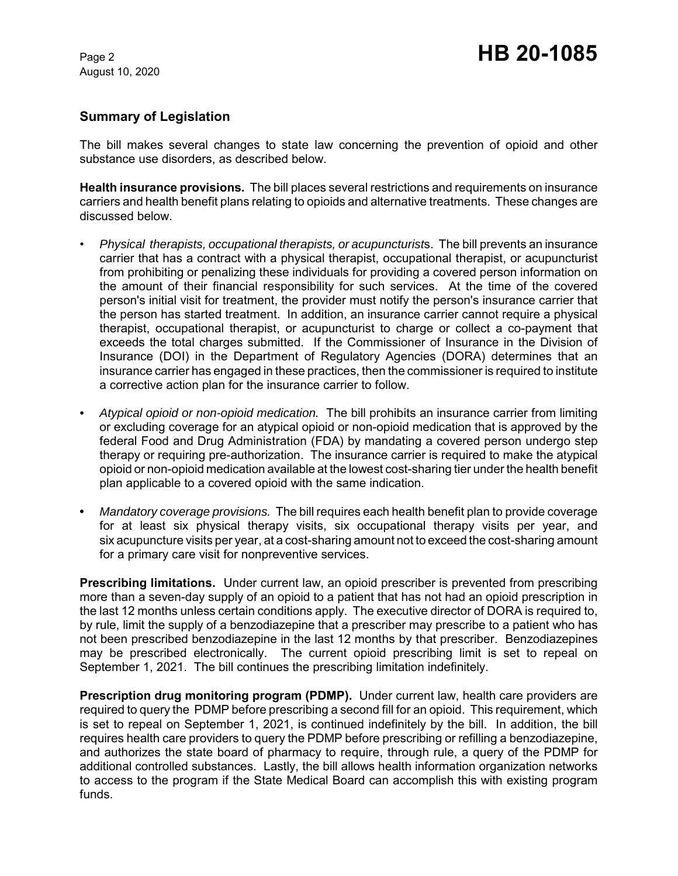August 10, 2020

## **Summary of Legislation**

The bill makes several changes to state law concerning the prevention of opioid and other substance use disorders, as described below.

**Health insurance provisions.** The bill places several restrictions and requirements on insurance carriers and health benefit plans relating to opioids and alternative treatments. These changes are discussed below.

- *Physical therapists, occupational therapists, or acupuncturist*s. The bill prevents an insurance carrier that has a contract with a physical therapist, occupational therapist, or acupuncturist from prohibiting or penalizing these individuals for providing a covered person information on the amount of their financial responsibility for such services. At the time of the covered person's initial visit for treatment, the provider must notify the person's insurance carrier that the person has started treatment. In addition, an insurance carrier cannot require a physical therapist, occupational therapist, or acupuncturist to charge or collect a co-payment that exceeds the total charges submitted. If the Commissioner of Insurance in the Division of Insurance (DOI) in the Department of Regulatory Agencies (DORA) determines that an insurance carrier has engaged in these practices, then the commissioner is required to institute a corrective action plan for the insurance carrier to follow.
- *Atypical opioid or non-opioid medication.* The bill prohibits an insurance carrier from limiting or excluding coverage for an atypical opioid or non-opioid medication that is approved by the federal Food and Drug Administration (FDA) by mandating a covered person undergo step therapy or requiring pre-authorization. The insurance carrier is required to make the atypical opioid or non-opioid medication available at the lowest cost-sharing tier under the health benefit plan applicable to a covered opioid with the same indication.
- **•** *Mandatory coverage provisions.* The bill requires each health benefit plan to provide coverage for at least six physical therapy visits, six occupational therapy visits per year, and six acupuncture visits per year, at a cost-sharing amount not to exceed the cost-sharing amount for a primary care visit for nonpreventive services.

**Prescribing limitations.** Under current law, an opioid prescriber is prevented from prescribing more than a seven-day supply of an opioid to a patient that has not had an opioid prescription in the last 12 months unless certain conditions apply. The executive director of DORA is required to, by rule, limit the supply of a benzodiazepine that a prescriber may prescribe to a patient who has not been prescribed benzodiazepine in the last 12 months by that prescriber. Benzodiazepines may be prescribed electronically. The current opioid prescribing limit is set to repeal on September 1, 2021. The bill continues the prescribing limitation indefinitely.

**Prescription drug monitoring program (PDMP).** Under current law, health care providers are required to query the PDMP before prescribing a second fill for an opioid. This requirement, which is set to repeal on September 1, 2021, is continued indefinitely by the bill. In addition, the bill requires health care providers to query the PDMP before prescribing or refilling a benzodiazepine, and authorizes the state board of pharmacy to require, through rule, a query of the PDMP for additional controlled substances. Lastly, the bill allows health information organization networks to access to the program if the State Medical Board can accomplish this with existing program funds.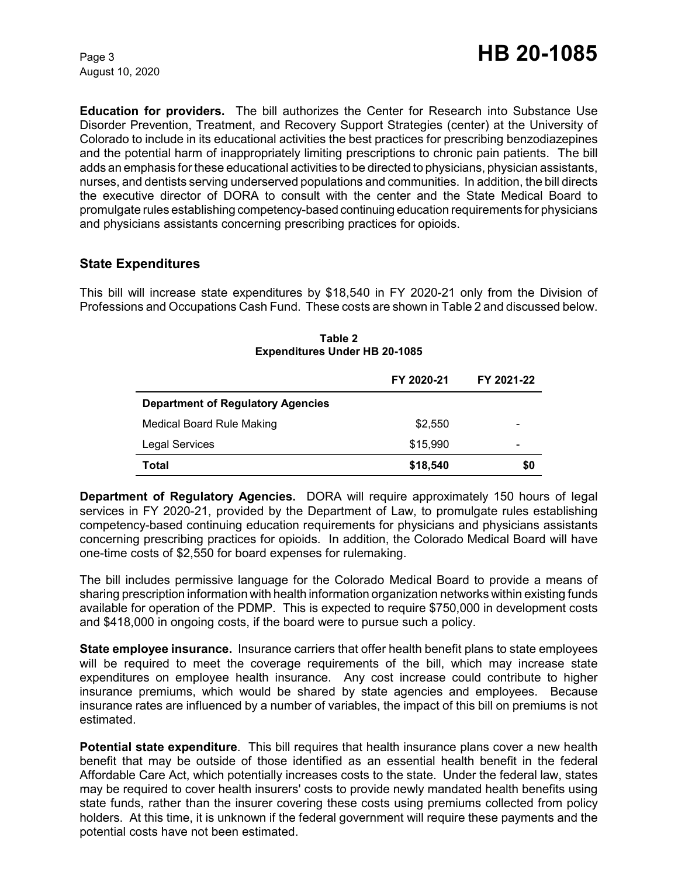August 10, 2020

**Education for providers.** The bill authorizes the Center for Research into Substance Use Disorder Prevention, Treatment, and Recovery Support Strategies (center) at the University of Colorado to include in its educational activities the best practices for prescribing benzodiazepines and the potential harm of inappropriately limiting prescriptions to chronic pain patients. The bill adds an emphasis for these educational activities to be directed to physicians, physician assistants, nurses, and dentists serving underserved populations and communities. In addition, the bill directs the executive director of DORA to consult with the center and the State Medical Board to promulgate rules establishing competency-based continuing education requirements for physicians and physicians assistants concerning prescribing practices for opioids.

## **State Expenditures**

This bill will increase state expenditures by \$18,540 in FY 2020-21 only from the Division of Professions and Occupations Cash Fund. These costs are shown in Table 2 and discussed below.

|                                          | FY 2020-21 | FY 2021-22 |
|------------------------------------------|------------|------------|
| <b>Department of Regulatory Agencies</b> |            |            |
| <b>Medical Board Rule Making</b>         | \$2,550    |            |
| <b>Legal Services</b>                    | \$15,990   |            |
| Total                                    | \$18,540   | \$0        |

**Table 2 Expenditures Under HB 20-1085**

**Department of Regulatory Agencies.** DORA will require approximately 150 hours of legal services in FY 2020-21, provided by the Department of Law, to promulgate rules establishing competency-based continuing education requirements for physicians and physicians assistants concerning prescribing practices for opioids. In addition, the Colorado Medical Board will have one-time costs of \$2,550 for board expenses for rulemaking.

The bill includes permissive language for the Colorado Medical Board to provide a means of sharing prescription information with health information organization networks within existing funds available for operation of the PDMP. This is expected to require \$750,000 in development costs and \$418,000 in ongoing costs, if the board were to pursue such a policy.

**State employee insurance.** Insurance carriers that offer health benefit plans to state employees will be required to meet the coverage requirements of the bill, which may increase state expenditures on employee health insurance. Any cost increase could contribute to higher insurance premiums, which would be shared by state agencies and employees. Because insurance rates are influenced by a number of variables, the impact of this bill on premiums is not estimated.

**Potential state expenditure**. This bill requires that health insurance plans cover a new health benefit that may be outside of those identified as an essential health benefit in the federal Affordable Care Act, which potentially increases costs to the state. Under the federal law, states may be required to cover health insurers' costs to provide newly mandated health benefits using state funds, rather than the insurer covering these costs using premiums collected from policy holders. At this time, it is unknown if the federal government will require these payments and the potential costs have not been estimated.